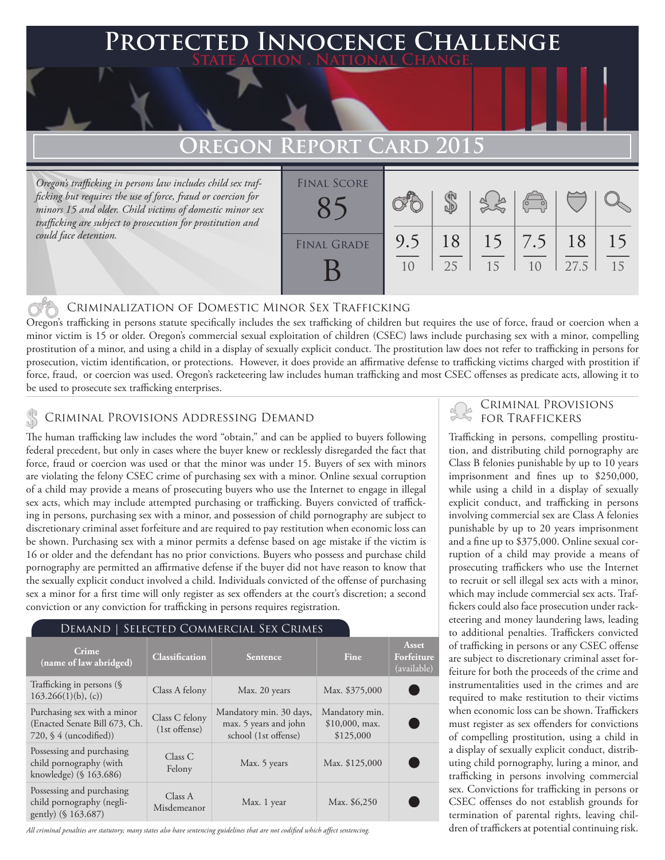### **FED INNOCENCE CHALLENGE State Action . National Change.**

## **Oregon Report Card 2015**

*Oregon's trafficking in persons law includes child sex trafficking but requires the use of force, fraud or coercion for minors 15 and older. Child victims of domestic minor sex trafficking are subject to prosecution for prostitution and could face detention.*

| <b>FINAL SCORE</b> |     |    |    | $\overline{(\circ)}$ |      |    |
|--------------------|-----|----|----|----------------------|------|----|
| <b>FINAL GRADE</b> | 9.5 | 18 | 15 | $\vert 7.5$          | 18   | 15 |
|                    | 10  | 25 | 15 | 1 <sub>0</sub>       | 27.5 | 15 |

#### Criminalization of Domestic Minor Sex Trafficking

Oregon's trafficking in persons statute specifically includes the sex trafficking of children but requires the use of force, fraud or coercion when a minor victim is 15 or older. Oregon's commercial sexual exploitation of children (CSEC) laws include purchasing sex with a minor, compelling prostitution of a minor, and using a child in a display of sexually explicit conduct. The prostitution law does not refer to trafficking in persons for prosecution, victim identification, or protections. However, it does provide an affirmative defense to trafficking victims charged with prostition if force, fraud, or coercion was used. Oregon's racketeering law includes human trafficking and most CSEC offenses as predicate acts, allowing it to be used to prosecute sex trafficking enterprises.

#### Criminal Provisions Addressing Demand

The human trafficking law includes the word "obtain," and can be applied to buyers following federal precedent, but only in cases where the buyer knew or recklessly disregarded the fact that force, fraud or coercion was used or that the minor was under 15. Buyers of sex with minors are violating the felony CSEC crime of purchasing sex with a minor. Online sexual corruption of a child may provide a means of prosecuting buyers who use the Internet to engage in illegal sex acts, which may include attempted purchasing or trafficking. Buyers convicted of trafficking in persons, purchasing sex with a minor, and possession of child pornography are subject to discretionary criminal asset forfeiture and are required to pay restitution when economic loss can be shown. Purchasing sex with a minor permits a defense based on age mistake if the victim is 16 or older and the defendant has no prior convictions. Buyers who possess and purchase child pornography are permitted an affirmative defense if the buyer did not have reason to know that the sexually explicit conduct involved a child. Individuals convicted of the offense of purchasing sex a minor for a first time will only register as sex offenders at the court's discretion; a second conviction or any conviction for trafficking in persons requires registration.

#### Demand | Selected Commercial Sex Crimes

| Crime<br>(name of law abridged)                                                          | <b>Classification</b>             | Sentence                                                                 | Fine                                            | Asset<br>Forfeiture<br>(available) |
|------------------------------------------------------------------------------------------|-----------------------------------|--------------------------------------------------------------------------|-------------------------------------------------|------------------------------------|
| Trafficking in persons (§<br>$163.266(1)(b)$ , (c))                                      | Class A felony                    | Max. 20 years                                                            | Max. \$375,000                                  |                                    |
| Purchasing sex with a minor<br>(Enacted Senate Bill 673, Ch.<br>$720,$ § 4 (uncodified)) | Class C felony<br>$(1st$ offense) | Mandatory min. 30 days,<br>max. 5 years and john<br>school (1st offense) | Mandatory min.<br>$$10,000$ , max.<br>\$125,000 |                                    |
| Possessing and purchasing<br>child pornography (with<br>knowledge) (§ 163.686)           | Class C<br>Felony                 | Max. 5 years                                                             | Max. \$125,000                                  |                                    |
| Possessing and purchasing<br>child pornography (negli-<br>gently) (§ 163.687)            | Class A<br>Misdemeanor            | Max. 1 year                                                              | Max. \$6,250                                    |                                    |

*All criminal penalties are statutory; many states also have sentencing guidelines that are not codified which affect sentencing.* 

# **CRIMINAL PROVISIONS**<br>• FOR TRAFFICKERS

Trafficking in persons, compelling prostitution, and distributing child pornography are Class B felonies punishable by up to 10 years imprisonment and fines up to \$250,000, while using a child in a display of sexually explicit conduct, and trafficking in persons involving commercial sex are Class A felonies punishable by up to 20 years imprisonment and a fine up to \$375,000. Online sexual corruption of a child may provide a means of prosecuting traffickers who use the Internet to recruit or sell illegal sex acts with a minor, which may include commercial sex acts. Traffickers could also face prosecution under racketeering and money laundering laws, leading to additional penalties. Traffickers convicted of trafficking in persons or any CSEC offense are subject to discretionary criminal asset forfeiture for both the proceeds of the crime and instrumentalities used in the crimes and are required to make restitution to their victims when economic loss can be shown. Traffickers must register as sex offenders for convictions of compelling prostitution, using a child in a display of sexually explicit conduct, distributing child pornography, luring a minor, and trafficking in persons involving commercial sex. Convictions for trafficking in persons or CSEC offenses do not establish grounds for termination of parental rights, leaving children of traffickers at potential continuing risk.